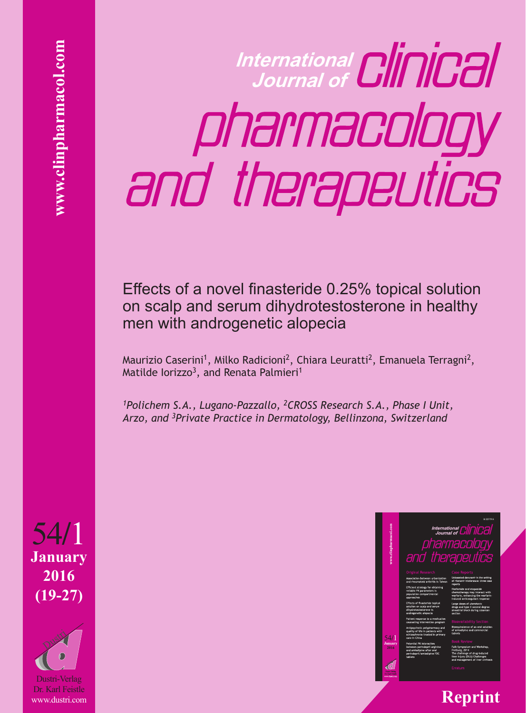**International Journal of** pharmacology and therapeutics

Effects of a novel finasteride 0.25% topical solution on scalp and serum dihydrotestosterone in healthy men with androgenetic alopecia

Maurizio Caserini<sup>1</sup>, Milko Radicioni<sup>2</sup>, Chiara Leuratti<sup>2</sup>, Emanuela Terragni<sup>2</sup>, Matilde Iorizzo<sup>3</sup>, and Renata Palmieri<sup>1</sup>

*1Polichem S.A., Lugano-Pazzallo, 2CROSS Research S.A., Phase I Unit, Arzo, and 3Private Practice in Dermatology, Bellinzona, Switzerland*



**January 2016 (19-27)** 54**/**1 54/1<br>January<br>2016<br>(19-27)<br><sub>Dustri</sub>.verlag<br>Dustri.verlag<br>Dr. Karl Feistle

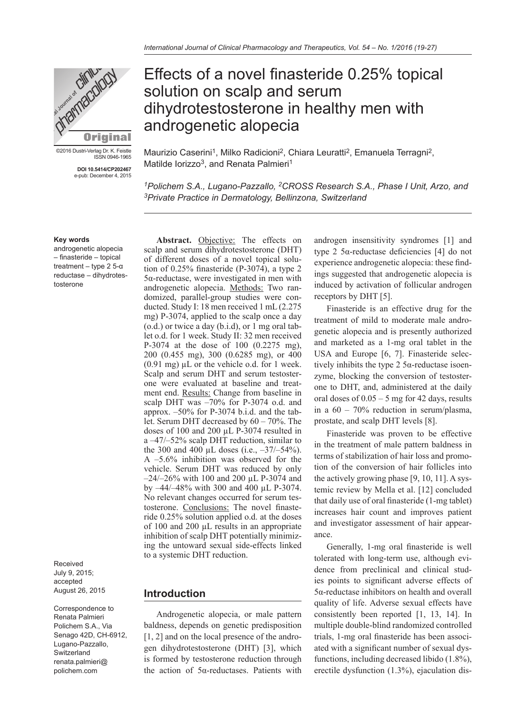

©2016 Dustri-Verlag Dr. K. Feistle ISSN 0946-1965

> **DOI 10.5414/CP202467** e-pub: December 4, 2015

#### **Key words**

androgenetic alopecia – finasteride – topical treatment – type 2 5-α reductase – dihydrotestosterone

Received July 9, 2015; accepted August 26, 2015

Correspondence to Renata Palmieri Polichem S.A., Via Senago 42D, CH-6912, Lugano-Pazzallo, Switzerland renata.palmieri@ polichem.com

# Effects of a novel finasteride 0.25% topical solution on scalp and serum dihydrotestosterone in healthy men with androgenetic alopecia

Maurizio Caserini<sup>1</sup>, Milko Radicioni<sup>2</sup>, Chiara Leuratti<sup>2</sup>, Emanuela Terragni<sup>2</sup>, Matilde Iorizzo<sup>3</sup>, and Renata Palmieri<sup>1</sup>

<sup>1</sup>Polichem S.A., Lugano-Pazzallo, <sup>2</sup>CROSS Research S.A., Phase I Unit, Arzo, and *3Private Practice in Dermatology, Bellinzona, Switzerland*

Abstract. Objective: The effects on scalp and serum dihydrotestosterone (DHT) of different doses of a novel topical solution of 0.25% finasteride (P-3074), a type 2 5α-reductase, were investigated in men with androgenetic alopecia. Methods: Two randomized, parallel-group studies were conducted. Study I: 18 men received 1 mL (2.275 mg) P-3074, applied to the scalp once a day (o.d.) or twice a day (b.i.d), or 1 mg oral tablet o.d. for 1 week. Study II: 32 men received P-3074 at the dose of 100 (0.2275 mg), 200 (0.455 mg), 300 (0.6285 mg), or 400  $(0.91 \text{ mg}) \mu L$  or the vehicle o.d. for 1 week. Scalp and serum DHT and serum testosterone were evaluated at baseline and treatment end. Results: Change from baseline in scalp DHT was –70% for P-3074 o.d. and approx. –50% for P-3074 b.i.d. and the tablet. Serum DHT decreased by 60 – 70%. The doses of 100 and 200 µL P-3074 resulted in a –47/–52% scalp DHT reduction, similar to the 300 and 400  $\mu$ L doses (i.e.,  $-37/-54\%$ ). A –5.6% inhibition was observed for the vehicle. Serum DHT was reduced by only –24/–26% with 100 and 200 µL P-3074 and by –44/–48% with 300 and 400 µL P-3074. No relevant changes occurred for serum testosterone. Conclusions: The novel finasteride 0.25% solution applied o.d. at the doses of 100 and 200 µL results in an appropriate inhibition of scalp DHT potentially minimizing the untoward sexual side-effects linked to a systemic DHT reduction.

#### **Introduction**

Androgenetic alopecia, or male pattern baldness, depends on genetic predisposition [1, 2] and on the local presence of the androgen dihydrotestosterone (DHT) [3], which is formed by testosterone reduction through the action of 5α-reductases. Patients with androgen insensitivity syndromes [1] and type 2 5α-reductase deficiencies [4] do not experience androgenetic alopecia: these findings suggested that androgenetic alopecia is induced by activation of follicular androgen receptors by DHT [5].

Finasteride is an effective drug for the treatment of mild to moderate male androgenetic alopecia and is presently authorized and marketed as a 1-mg oral tablet in the USA and Europe [6, 7]. Finasteride selectively inhibits the type 2 5α-reductase isoenzyme, blocking the conversion of testosterone to DHT, and, administered at the daily oral doses of  $0.05 - 5$  mg for 42 days, results in a 60 – 70% reduction in serum/plasma, prostate, and scalp DHT levels [8].

Finasteride was proven to be effective in the treatment of male pattern baldness in terms of stabilization of hair loss and promotion of the conversion of hair follicles into the actively growing phase [9, 10, 11]. A systemic review by Mella et al. [12] concluded that daily use of oral finasteride (1-mg tablet) increases hair count and improves patient and investigator assessment of hair appearance.

Generally, 1-mg oral finasteride is well tolerated with long-term use, although evidence from preclinical and clinical studies points to significant adverse effects of 5α-reductase inhibitors on health and overall quality of life. Adverse sexual effects have consistently been reported [1, 13, 14]. In multiple double-blind randomized controlled trials, 1-mg oral finasteride has been associated with a significant number of sexual dysfunctions, including decreased libido (1.8%), erectile dysfunction (1.3%), ejaculation dis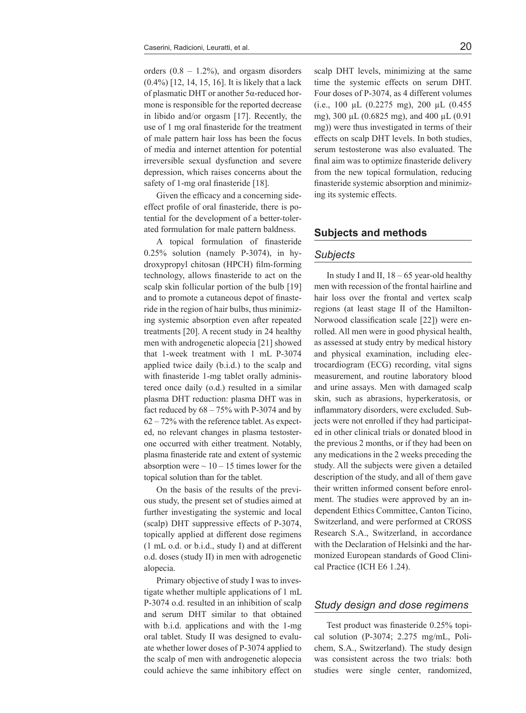orders  $(0.8 - 1.2\%)$ , and orgasm disorders (0.4%) [12, 14, 15, 16]. It is likely that a lack of plasmatic DHT or another 5α-reduced hormone is responsible for the reported decrease in libido and/or orgasm [17]. Recently, the use of 1 mg oral finasteride for the treatment of male pattern hair loss has been the focus of media and internet attention for potential irreversible sexual dysfunction and severe depression, which raises concerns about the safety of 1-mg oral finasteride [18].

Given the efficacy and a concerning sideeffect profile of oral finasteride, there is potential for the development of a better-tolerated formulation for male pattern baldness.

A topical formulation of finasteride 0.25% solution (namely P-3074), in hydroxypropyl chitosan (HPCH) film-forming technology, allows finasteride to act on the scalp skin follicular portion of the bulb [19] and to promote a cutaneous depot of finasteride in the region of hair bulbs, thus minimizing systemic absorption even after repeated treatments [20]. A recent study in 24 healthy men with androgenetic alopecia [21] showed that 1-week treatment with 1 mL P-3074 applied twice daily (b.i.d.) to the scalp and with finasteride 1-mg tablet orally administered once daily (o.d.) resulted in a similar plasma DHT reduction: plasma DHT was in fact reduced by  $68 - 75\%$  with P-3074 and by 62 – 72% with the reference tablet. As expected, no relevant changes in plasma testosterone occurred with either treatment. Notably, plasma finasteride rate and extent of systemic absorption were  $\sim$  10 – 15 times lower for the topical solution than for the tablet.

On the basis of the results of the previous study, the present set of studies aimed at further investigating the systemic and local (scalp) DHT suppressive effects of P-3074, topically applied at different dose regimens (1 mL o.d. or b.i.d., study I) and at different o.d. doses (study II) in men with adrogenetic alopecia.

Primary objective of study I was to investigate whether multiple applications of 1 mL P-3074 o.d. resulted in an inhibition of scalp and serum DHT similar to that obtained with b.i.d. applications and with the 1-mg oral tablet. Study II was designed to evaluate whether lower doses of P-3074 applied to the scalp of men with androgenetic alopecia could achieve the same inhibitory effect on scalp DHT levels, minimizing at the same time the systemic effects on serum DHT. Four doses of P-3074, as 4 different volumes (i.e., 100 µL (0.2275 mg), 200 µL (0.455 mg), 300 μL (0.6825 mg), and 400 μL (0.91 mg)) were thus investigated in terms of their effects on scalp DHT levels. In both studies, serum testosterone was also evaluated. The final aim was to optimize finasteride delivery from the new topical formulation, reducing finasteride systemic absorption and minimizing its systemic effects.

# **Subjects and methods**

#### *Subjects*

In study I and II,  $18 - 65$  year-old healthy men with recession of the frontal hairline and hair loss over the frontal and vertex scalp regions (at least stage II of the Hamilton-Norwood classification scale [22]) were enrolled. All men were in good physical health, as assessed at study entry by medical history and physical examination, including electrocardiogram (ECG) recording, vital signs measurement, and routine laboratory blood and urine assays. Men with damaged scalp skin, such as abrasions, hyperkeratosis, or inflammatory disorders, were excluded. Subjects were not enrolled if they had participated in other clinical trials or donated blood in the previous 2 months, or if they had been on any medications in the 2 weeks preceding the study. All the subjects were given a detailed description of the study, and all of them gave their written informed consent before enrolment. The studies were approved by an independent Ethics Committee, Canton Ticino, Switzerland, and were performed at CROSS Research S.A., Switzerland, in accordance with the Declaration of Helsinki and the harmonized European standards of Good Clinical Practice (ICH E6 1.24).

### *Study design and dose regimens*

Test product was finasteride 0.25% topical solution (P-3074; 2.275 mg/mL, Polichem, S.A., Switzerland). The study design was consistent across the two trials: both studies were single center, randomized,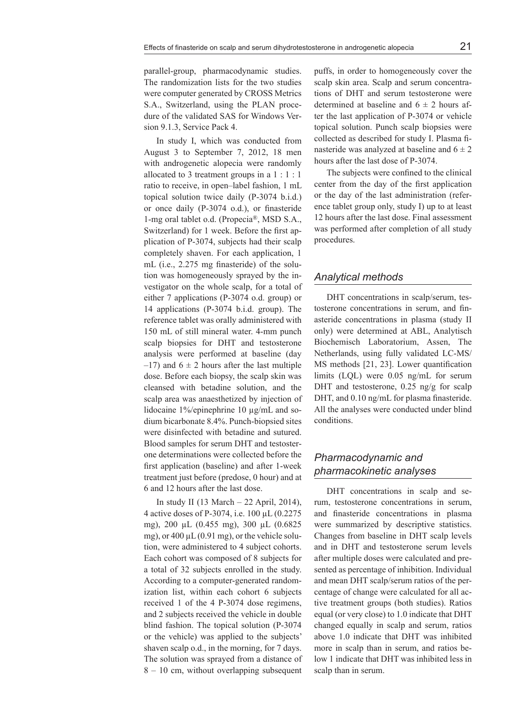sion 9.1.3, Service Pack 4. In study I, which was conducted from August 3 to September 7, 2012, 18 men with androgenetic alopecia were randomly allocated to 3 treatment groups in a 1 : 1 : 1 ratio to receive, in open–label fashion, 1 mL topical solution twice daily (P-3074 b.i.d.) or once daily (P-3074 o.d.), or finasteride 1-mg oral tablet o.d. (Propecia®, MSD S.A., Switzerland) for 1 week. Before the first application of P-3074, subjects had their scalp completely shaven. For each application, 1 mL (i.e., 2.275 mg finasteride) of the solution was homogeneously sprayed by the investigator on the whole scalp, for a total of either 7 applications (P-3074 o.d. group) or 14 applications (P-3074 b.i.d. group). The reference tablet was orally administered with 150 mL of still mineral water. 4-mm punch scalp biopsies for DHT and testosterone analysis were performed at baseline (day  $-17$ ) and  $6 \pm 2$  hours after the last multiple dose. Before each biopsy, the scalp skin was cleansed with betadine solution, and the scalp area was anaesthetized by injection of lidocaine 1%/epinephrine 10 µg/mL and sodium bicarbonate 8.4%. Punch-biopsied sites were disinfected with betadine and sutured. Blood samples for serum DHT and testosterone determinations were collected before the first application (baseline) and after 1-week treatment just before (predose, 0 hour) and at 6 and 12 hours after the last dose.

dure of the validated SAS for Windows Ver-

In study II (13 March – 22 April, 2014), 4 active doses of P-3074, i.e. 100 µL (0.2275 mg), 200 µL (0.455 mg), 300 µL (0.6825 mg), or  $400 \mu L (0.91 \text{ mg})$ , or the vehicle solution, were administered to 4 subject cohorts. Each cohort was composed of 8 subjects for a total of 32 subjects enrolled in the study. According to a computer-generated randomization list, within each cohort 6 subjects received 1 of the 4 P-3074 dose regimens, and 2 subjects received the vehicle in double blind fashion. The topical solution (P-3074 or the vehicle) was applied to the subjects' shaven scalp o.d., in the morning, for 7 days. The solution was sprayed from a distance of 8 – 10 cm, without overlapping subsequent

puffs, in order to homogeneously cover the scalp skin area. Scalp and serum concentrations of DHT and serum testosterone were determined at baseline and  $6 \pm 2$  hours after the last application of P-3074 or vehicle topical solution. Punch scalp biopsies were collected as described for study I. Plasma finasteride was analyzed at baseline and  $6 \pm 2$ hours after the last dose of P-3074.

The subjects were confined to the clinical center from the day of the first application or the day of the last administration (reference tablet group only, study I) up to at least 12 hours after the last dose. Final assessment was performed after completion of all study procedures.

# *Analytical methods*

DHT concentrations in scalp/serum, testosterone concentrations in serum, and finasteride concentrations in plasma (study II only) were determined at ABL, Analytisch Biochemisch Laboratorium, Assen, The Netherlands, using fully validated LC-MS/ MS methods [21, 23]. Lower quantification limits (LQL) were 0.05 ng/mL for serum DHT and testosterone, 0.25 ng/g for scalp DHT, and 0.10 ng/mL for plasma finasteride. All the analyses were conducted under blind conditions.

# *Pharmacodynamic and pharmacokinetic analyses*

DHT concentrations in scalp and serum, testosterone concentrations in serum, and finasteride concentrations in plasma were summarized by descriptive statistics. Changes from baseline in DHT scalp levels and in DHT and testosterone serum levels after multiple doses were calculated and presented as percentage of inhibition. Individual and mean DHT scalp/serum ratios of the percentage of change were calculated for all active treatment groups (both studies). Ratios equal (or very close) to 1.0 indicate that DHT changed equally in scalp and serum, ratios above 1.0 indicate that DHT was inhibited more in scalp than in serum, and ratios below 1 indicate that DHT was inhibited less in scalp than in serum.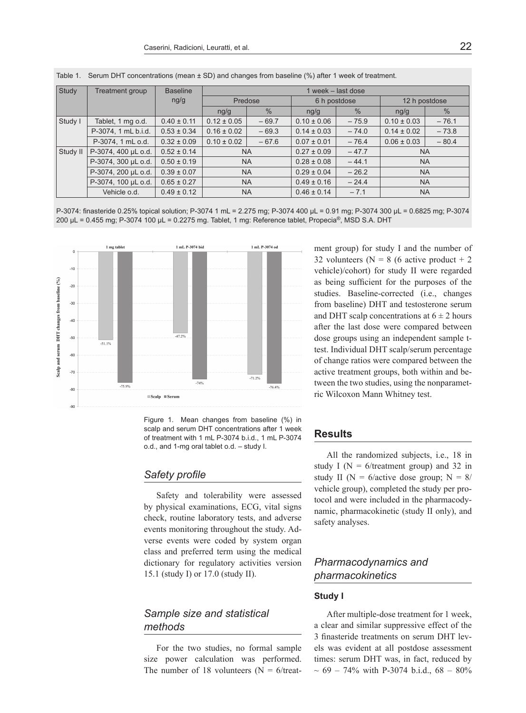| Study    | Treatment group     | <b>Baseline</b> | 1 week - last dose                  |               |                 |               |                 |         |
|----------|---------------------|-----------------|-------------------------------------|---------------|-----------------|---------------|-----------------|---------|
|          |                     | ng/g            | Predose                             |               | 6 h postdose    |               | 12 h postdose   |         |
|          |                     |                 | ng/g                                | $\frac{0}{0}$ | ng/g            | $\frac{0}{0}$ | ng/g            | $\%$    |
| Study I  | Tablet, 1 mg o.d.   | $0.40 \pm 0.11$ | $0.12 \pm 0.05$                     | $-69.7$       | $0.10 \pm 0.06$ | $-75.9$       | $0.10 \pm 0.03$ | $-76.1$ |
|          | P-3074, 1 mL b.i.d. | $0.53 \pm 0.34$ | $0.16 \pm 0.02$                     | $-69.3$       | $0.14 \pm 0.03$ | $-74.0$       | $0.14 \pm 0.02$ | $-73.8$ |
|          | P-3074, 1 mL o.d.   | $0.32 \pm 0.09$ | $0.10 \pm 0.02$                     | $-67.6$       | $0.07 \pm 0.01$ | $-76.4$       | $0.06 \pm 0.03$ | $-80.4$ |
| Study II | P-3074, 400 µL o.d. | $0.52 \pm 0.14$ | <b>NA</b>                           |               | $0.27 \pm 0.09$ | $-47.7$       | <b>NA</b>       |         |
|          | P-3074, 300 µL o.d. | $0.50 \pm 0.19$ | <b>NA</b>                           |               | $0.28 \pm 0.08$ | $-44.1$       | <b>NA</b>       |         |
|          | P-3074, 200 µL o.d. | $0.39 \pm 0.07$ | <b>NA</b><br><b>NA</b><br><b>NA</b> |               | $0.29 \pm 0.04$ | $-26.2$       | <b>NA</b>       |         |
|          | P-3074, 100 µL o.d. | $0.65 \pm 0.27$ |                                     |               | $0.49 \pm 0.16$ | $-24.4$       | <b>NA</b>       |         |
|          | Vehicle o.d.        | $0.49 \pm 0.12$ |                                     |               | $0.46 \pm 0.14$ | $-7.1$        | <b>NA</b>       |         |

Table 1. Serum DHT concentrations (mean ± SD) and changes from baseline (%) after 1 week of treatment.

P-3074: finasteride 0.25% topical solution; P-3074 1 mL = 2.275 mg; P-3074 400 µL = 0.91 mg; P-3074 300 µL = 0.6825 mg; P-3074 200 µL = 0.455 mg; P-3074 100 µL = 0.2275 mg. Tablet, 1 mg: Reference tablet, Propecia®, MSD S.A. DHT



Figure 1. Mean changes from baseline (%) in scalp and serum DHT concentrations after 1 week of treatment with 1 mL P-3074 b.i.d., 1 mL P-3074 o.d., and 1-mg oral tablet o.d. – study I.

#### *Safety profile*

Safety and tolerability were assessed by physical examinations, ECG, vital signs check, routine laboratory tests, and adverse events monitoring throughout the study. Adverse events were coded by system organ class and preferred term using the medical dictionary for regulatory activities version 15.1 (study I) or 17.0 (study II).

# *Sample size and statistical methods*

For the two studies, no formal sample size power calculation was performed. The number of 18 volunteers ( $N = 6$ /treatment group) for study I and the number of 32 volunteers ( $N = 8$  (6 active product  $+ 2$ ) vehicle)/cohort) for study II were regarded as being sufficient for the purposes of the studies. Baseline-corrected (i.e., changes from baseline) DHT and testosterone serum and DHT scalp concentrations at  $6 \pm 2$  hours after the last dose were compared between dose groups using an independent sample ttest. Individual DHT scalp/serum percentage of change ratios were compared between the active treatment groups, both within and between the two studies, using the nonparametric Wilcoxon Mann Whitney test.

# **Results**

All the randomized subjects, i.e., 18 in study I ( $N = 6$ /treatment group) and 32 in study II ( $N = 6$ /active dose group;  $N = 8/$ vehicle group), completed the study per protocol and were included in the pharmacodynamic, pharmacokinetic (study II only), and safety analyses.

# *Pharmacodynamics and pharmacokinetics*

#### **Study I**

After multiple-dose treatment for 1 week, a clear and similar suppressive effect of the 3 finasteride treatments on serum DHT levels was evident at all postdose assessment times: serum DHT was, in fact, reduced by  $\sim 69 - 74\%$  with P-3074 b.i.d., 68 – 80%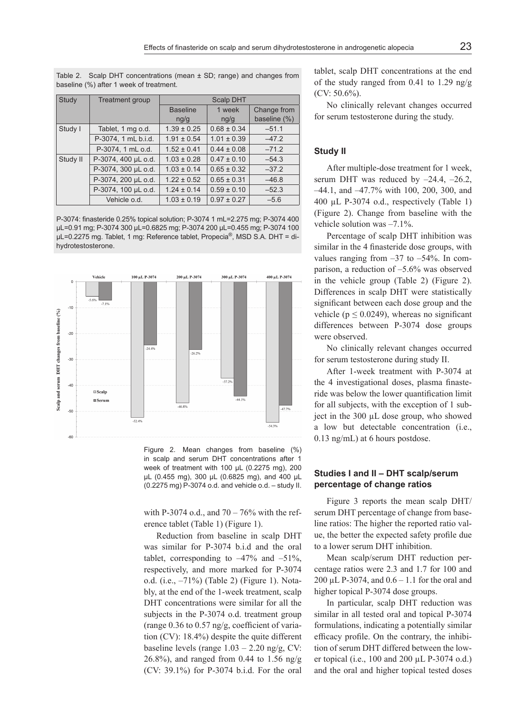Table 2. Scalp DHT concentrations (mean  $\pm$  SD; range) and changes from baseline (%) after 1 week of treatment.

| Study    | <b>Treatment group</b> | Scalp DHT       |                 |              |  |  |  |
|----------|------------------------|-----------------|-----------------|--------------|--|--|--|
|          |                        | <b>Baseline</b> | 1 week          | Change from  |  |  |  |
|          |                        | ng/g            | ng/g            | baseline (%) |  |  |  |
| Study I  | Tablet, 1 mg o.d.      | $1.39 \pm 0.25$ | $0.68 \pm 0.34$ | $-51.1$      |  |  |  |
|          | P-3074, 1 mL b.i.d.    | $1.91 \pm 0.54$ | $1.01 \pm 0.39$ | $-47.2$      |  |  |  |
|          | P-3074, 1 mL o.d.      | $1.52 \pm 0.41$ | $0.44 \pm 0.08$ | $-71.2$      |  |  |  |
| Study II | P-3074, 400 µL o.d.    | $1.03 \pm 0.28$ | $0.47 \pm 0.10$ | $-54.3$      |  |  |  |
|          | P-3074, 300 µL o.d.    | $1.03 \pm 0.14$ | $0.65 \pm 0.32$ | $-37.2$      |  |  |  |
|          | P-3074, 200 µL o.d.    | $1.22 \pm 0.52$ | $0.65 \pm 0.31$ | $-46.8$      |  |  |  |
|          | P-3074, 100 µL o.d.    | $1.24 \pm 0.14$ | $0.59 \pm 0.10$ | $-52.3$      |  |  |  |
|          | Vehicle o.d.           | $1.03 \pm 0.19$ | $0.97 \pm 0.27$ | $-5.6$       |  |  |  |

P-3074: finasteride 0.25% topical solution; P-3074 1 mL=2.275 mg; P-3074 400 µL=0.91 mg; P-3074 300 µL=0.6825 mg; P-3074 200 µL=0.455 mg; P-3074 100 µL=0.2275 mg. Tablet, 1 mg: Reference tablet, Propecia®, MSD S.A. DHT = dihydrotestosterone.



Figure 2. Mean changes from baseline (%) in scalp and serum DHT concentrations after 1 week of treatment with 100 µL (0.2275 mg), 200 µL (0.455 mg), 300 µL (0.6825 mg), and 400 µL (0.2275 mg) P-3074 o.d. and vehicle o.d. – study II.

with P-3074 o.d., and  $70 - 76\%$  with the reference tablet (Table 1) (Figure 1).

Reduction from baseline in scalp DHT was similar for P-3074 b.i.d and the oral tablet, corresponding to  $-47\%$  and  $-51\%$ . respectively, and more marked for P-3074 o.d. (i.e., –71%) (Table 2) (Figure 1). Notably, at the end of the 1-week treatment, scalp DHT concentrations were similar for all the subjects in the P-3074 o.d. treatment group (range 0.36 to 0.57 ng/g, coefficient of variation (CV): 18.4%) despite the quite different baseline levels (range  $1.03 - 2.20$  ng/g, CV: 26.8%), and ranged from 0.44 to 1.56 ng/g (CV: 39.1%) for P-3074 b.i.d. For the oral

tablet, scalp DHT concentrations at the end of the study ranged from 0.41 to 1.29 ng/g (CV: 50.6%).

No clinically relevant changes occurred for serum testosterone during the study.

# **Study II**

After multiple-dose treatment for 1 week, serum DHT was reduced by  $-24.4$ ,  $-26.2$ , –44.1, and –47.7% with 100, 200, 300, and 400 µL P-3074 o.d., respectively (Table 1) (Figure 2). Change from baseline with the vehicle solution was –7.1%.

Percentage of scalp DHT inhibition was similar in the 4 finasteride dose groups, with values ranging from  $-37$  to  $-54\%$ . In comparison, a reduction of –5.6% was observed in the vehicle group (Table 2) (Figure 2). Differences in scalp DHT were statistically significant between each dose group and the vehicle ( $p \le 0.0249$ ), whereas no significant differences between P-3074 dose groups were observed.

No clinically relevant changes occurred for serum testosterone during study II.

After 1-week treatment with P-3074 at the 4 investigational doses, plasma finasteride was below the lower quantification limit for all subjects, with the exception of 1 subject in the 300 µL dose group, who showed a low but detectable concentration (i.e., 0.13 ng/mL) at 6 hours postdose.

## **Studies I and II – DHT scalp/serum percentage of change ratios**

Figure 3 reports the mean scalp DHT/ serum DHT percentage of change from baseline ratios: The higher the reported ratio value, the better the expected safety profile due to a lower serum DHT inhibition.

Mean scalp/serum DHT reduction percentage ratios were 2.3 and 1.7 for 100 and 200 µL P-3074, and 0.6 – 1.1 for the oral and higher topical P-3074 dose groups.

In particular, scalp DHT reduction was similar in all tested oral and topical P-3074 formulations, indicating a potentially similar efficacy profile. On the contrary, the inhibition of serum DHT differed between the lower topical (i.e., 100 and 200 µL P-3074 o.d.) and the oral and higher topical tested doses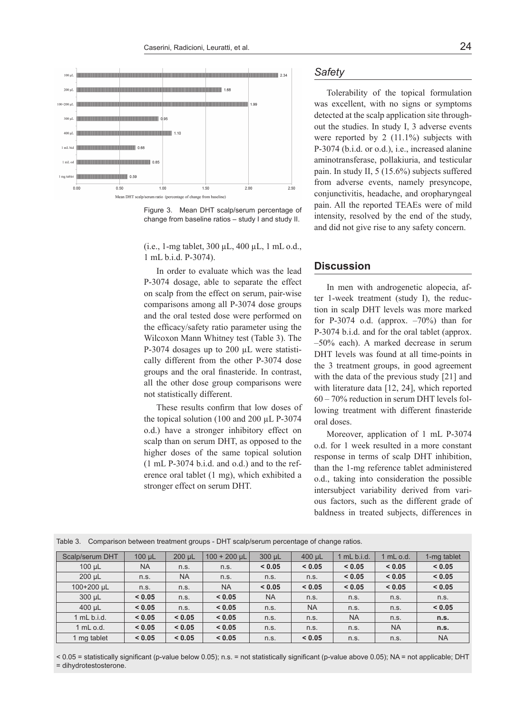

Figure 3. Mean DHT scalp/serum percentage of change from baseline ratios – study I and study II.

(i.e., 1-mg tablet, 300 µL, 400 µL, 1 mL o.d., 1 mL b.i.d. P-3074).

In order to evaluate which was the lead P-3074 dosage, able to separate the effect on scalp from the effect on serum, pair-wise comparisons among all P-3074 dose groups and the oral tested dose were performed on the efficacy/safety ratio parameter using the Wilcoxon Mann Whitney test (Table 3). The P-3074 dosages up to 200 µL were statistically different from the other P-3074 dose groups and the oral finasteride. In contrast, all the other dose group comparisons were not statistically different.

These results confirm that low doses of the topical solution (100 and 200 µL P-3074 o.d.) have a stronger inhibitory effect on scalp than on serum DHT, as opposed to the higher doses of the same topical solution (1 mL P-3074 b.i.d. and o.d.) and to the reference oral tablet (1 mg), which exhibited a stronger effect on serum DHT.

# *Safety*

Tolerability of the topical formulation was excellent, with no signs or symptoms detected at the scalp application site throughout the studies. In study I, 3 adverse events were reported by 2  $(11.1\%)$  subjects with P-3074 (b.i.d. or o.d.), i.e., increased alanine aminotransferase, pollakiuria, and testicular pain. In study II, 5 (15.6%) subjects suffered from adverse events, namely presyncope, conjunctivitis, headache, and oropharyngeal pain. All the reported TEAEs were of mild intensity, resolved by the end of the study, and did not give rise to any safety concern.

#### **Discussion**

In men with androgenetic alopecia, after 1-week treatment (study I), the reduction in scalp DHT levels was more marked for P-3074 o.d. (approx.  $-70\%$ ) than for P-3074 b.i.d. and for the oral tablet (approx. –50% each). A marked decrease in serum DHT levels was found at all time-points in the 3 treatment groups, in good agreement with the data of the previous study [21] and with literature data [12, 24], which reported 60 – 70% reduction in serum DHT levels following treatment with different finasteride oral doses.

Moreover, application of 1 mL P-3074 o.d. for 1 week resulted in a more constant response in terms of scalp DHT inhibition, than the 1-mg reference tablet administered o.d., taking into consideration the possible intersubject variability derived from various factors, such as the different grade of baldness in treated subjects, differences in

| Scalp/serum DHT | $100 \mu L$ | $200 \mu L$ | $100 + 200$ µL | 300 µL    | $400 \mu L$ | $1$ mL b.i.d. | 1 mL o.d. | 1-mg tablet |
|-----------------|-------------|-------------|----------------|-----------|-------------|---------------|-----------|-------------|
| $100 \mu L$     | <b>NA</b>   | n.s.        | n.s.           | < 0.05    | < 0.05      | < 0.05        | < 0.05    | < 0.05      |
| 200 µL          | n.s.        | <b>NA</b>   | n.s.           | n.s.      | n.s.        | < 0.05        | < 0.05    | < 0.05      |
| 100+200 µL      | n.s.        | n.s.        | <b>NA</b>      | < 0.05    | < 0.05      | < 0.05        | < 0.05    | < 0.05      |
| 300 µL          | < 0.05      | n.s.        | < 0.05         | <b>NA</b> | n.s.        | n.s.          | n.s.      | n.s.        |
| $400 \mu L$     | < 0.05      | n.s.        | < 0.05         | n.s.      | <b>NA</b>   | n.s.          | n.s.      | < 0.05      |
| $1$ mL b.i.d.   | < 0.05      | < 0.05      | < 0.05         | n.s.      | n.s.        | <b>NA</b>     | n.s.      | n.s.        |
| 1 mL o.d.       | < 0.05      | < 0.05      | < 0.05         | n.s.      | n.s.        | n.s.          | <b>NA</b> | n.s.        |
| 1 mg tablet     | < 0.05      | < 0.05      | < 0.05         | n.s.      | < 0.05      | n.s.          | n.s.      | <b>NA</b>   |

Table 3. Comparison between treatment groups - DHT scalp/serum percentage of change ratios.

< 0.05 = statistically significant (p-value below 0.05); n.s. = not statistically significant (p-value above 0.05); NA = not applicable; DHT = dihydrotestosterone.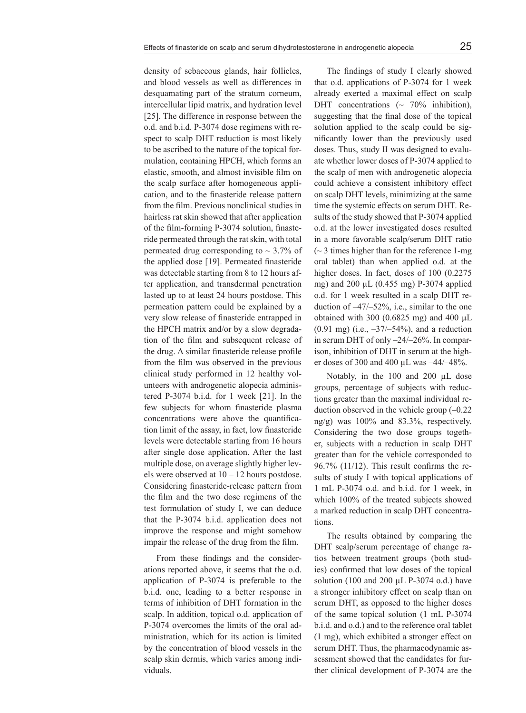density of sebaceous glands, hair follicles, and blood vessels as well as differences in desquamating part of the stratum corneum, intercellular lipid matrix, and hydration level [25]. The difference in response between the o.d. and b.i.d. P-3074 dose regimens with respect to scalp DHT reduction is most likely to be ascribed to the nature of the topical formulation, containing HPCH, which forms an elastic, smooth, and almost invisible film on the scalp surface after homogeneous application, and to the finasteride release pattern from the film. Previous nonclinical studies in hairless rat skin showed that after application of the film-forming P-3074 solution, finasteride permeated through the rat skin, with total permeated drug corresponding to  $\sim$  3.7% of the applied dose [19]. Permeated finasteride was detectable starting from 8 to 12 hours after application, and transdermal penetration lasted up to at least 24 hours postdose. This permeation pattern could be explained by a very slow release of finasteride entrapped in the HPCH matrix and/or by a slow degradation of the film and subsequent release of the drug. A similar finasteride release profile from the film was observed in the previous clinical study performed in 12 healthy volunteers with androgenetic alopecia administered P-3074 b.i.d. for 1 week [21]. In the few subjects for whom finasteride plasma concentrations were above the quantification limit of the assay, in fact, low finasteride levels were detectable starting from 16 hours after single dose application. After the last multiple dose, on average slightly higher levels were observed at  $10 - 12$  hours postdose. Considering finasteride-release pattern from the film and the two dose regimens of the test formulation of study I, we can deduce that the P-3074 b.i.d. application does not improve the response and might somehow impair the release of the drug from the film.

From these findings and the considerations reported above, it seems that the o.d. application of P-3074 is preferable to the b.i.d. one, leading to a better response in terms of inhibition of DHT formation in the scalp. In addition, topical o.d. application of P-3074 overcomes the limits of the oral administration, which for its action is limited by the concentration of blood vessels in the scalp skin dermis, which varies among individuals.

The findings of study I clearly showed that o.d. applications of P-3074 for 1 week already exerted a maximal effect on scalp DHT concentrations  $\sim 70\%$  inhibition), suggesting that the final dose of the topical solution applied to the scalp could be significantly lower than the previously used doses. Thus, study II was designed to evaluate whether lower doses of P-3074 applied to the scalp of men with androgenetic alopecia could achieve a consistent inhibitory effect on scalp DHT levels, minimizing at the same time the systemic effects on serum DHT. Results of the study showed that P-3074 applied o.d. at the lower investigated doses resulted in a more favorable scalp/serum DHT ratio  $\sim$  3 times higher than for the reference 1-mg oral tablet) than when applied o.d. at the higher doses. In fact, doses of 100 (0.2275) mg) and 200 μL (0.455 mg) P-3074 applied o.d. for 1 week resulted in a scalp DHT reduction of –47/–52%, i.e., similar to the one obtained with 300  $(0.6825 \text{ mg})$  and 400  $\mu$ L  $(0.91 \text{ mg})$  (i.e.,  $-37/-54\%$ ), and a reduction in serum DHT of only –24/–26%. In comparison, inhibition of DHT in serum at the higher doses of 300 and 400 µL was –44/–48%.

Notably, in the 100 and 200 µL dose groups, percentage of subjects with reductions greater than the maximal individual reduction observed in the vehicle group (–0.22 ng/g) was 100% and 83.3%, respectively. Considering the two dose groups together, subjects with a reduction in scalp DHT greater than for the vehicle corresponded to 96.7% (11/12). This result confirms the results of study I with topical applications of 1 mL P-3074 o.d. and b.i.d. for 1 week, in which 100% of the treated subjects showed a marked reduction in scalp DHT concentrations.

The results obtained by comparing the DHT scalp/serum percentage of change ratios between treatment groups (both studies) confirmed that low doses of the topical solution (100 and 200  $\mu$ L P-3074 o.d.) have a stronger inhibitory effect on scalp than on serum DHT, as opposed to the higher doses of the same topical solution (1 mL P-3074 b.i.d. and o.d.) and to the reference oral tablet (1 mg), which exhibited a stronger effect on serum DHT. Thus, the pharmacodynamic assessment showed that the candidates for further clinical development of P-3074 are the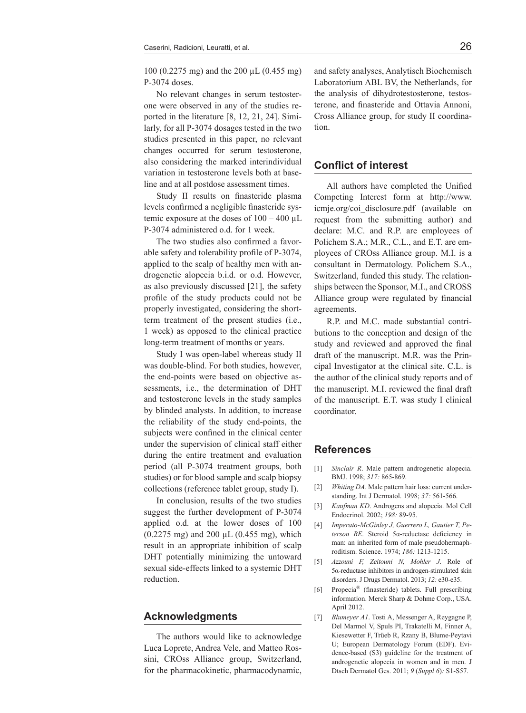100 (0.2275 mg) and the 200 µL (0.455 mg) P-3074 doses.

No relevant changes in serum testosterone were observed in any of the studies reported in the literature [8, 12, 21, 24]. Similarly, for all P-3074 dosages tested in the two studies presented in this paper, no relevant changes occurred for serum testosterone, also considering the marked interindividual variation in testosterone levels both at baseline and at all postdose assessment times.

Study II results on finasteride plasma levels confirmed a negligible finasteride systemic exposure at the doses of  $100 - 400$   $\mu$ L P-3074 administered o.d. for 1 week.

The two studies also confirmed a favorable safety and tolerability profile of P-3074, applied to the scalp of healthy men with androgenetic alopecia b.i.d. or o.d. However, as also previously discussed [21], the safety profile of the study products could not be properly investigated, considering the shortterm treatment of the present studies (i.e., 1 week) as opposed to the clinical practice long-term treatment of months or years.

Study I was open-label whereas study II was double-blind. For both studies, however, the end-points were based on objective assessments, i.e., the determination of DHT and testosterone levels in the study samples by blinded analysts. In addition, to increase the reliability of the study end-points, the subjects were confined in the clinical center under the supervision of clinical staff either during the entire treatment and evaluation period (all P-3074 treatment groups, both studies) or for blood sample and scalp biopsy collections (reference tablet group, study I).

In conclusion, results of the two studies suggest the further development of P-3074 applied o.d. at the lower doses of 100 (0.2275 mg) and 200 µL (0.455 mg), which result in an appropriate inhibition of scalp DHT potentially minimizing the untoward sexual side-effects linked to a systemic DHT reduction.

#### **Acknowledgments**

The authors would like to acknowledge Luca Loprete, Andrea Vele, and Matteo Rossini, CROss Alliance group, Switzerland, for the pharmacokinetic, pharmacodynamic,

and safety analyses, Analytisch Biochemisch Laboratorium ABL BV, the Netherlands, for the analysis of dihydrotestosterone, testosterone, and finasteride and Ottavia Annoni, Cross Alliance group, for study II coordination.

### **Conflict of interest**

All authors have completed the Unified Competing Interest form at http://www. icmje.org/coi\_disclosure.pdf (available on request from the submitting author) and declare: M.C. and R.P. are employees of Polichem S.A.; M.R., C.L., and E.T. are employees of CROss Alliance group. M.I. is a consultant in Dermatology. Polichem S.A., Switzerland, funded this study. The relationships between the Sponsor, M.I., and CROSS Alliance group were regulated by financial agreements.

R.P. and M.C. made substantial contributions to the conception and design of the study and reviewed and approved the final draft of the manuscript. M.R. was the Principal Investigator at the clinical site. C.L. is the author of the clinical study reports and of the manuscript. M.I. reviewed the final draft of the manuscript. E.T. was study I clinical coordinator.

#### **References**

- [1] *Sinclair R*. Male pattern androgenetic alopecia. BMJ. 1998; *317:* 865-869.
- [2] *Whiting DA*. Male pattern hair loss: current understanding. Int J Dermatol. 1998; *37:* 561-566.
- [3] *Kaufman KD*. Androgens and alopecia. Mol Cell Endocrinol. 2002; *198:* 89-95.
- [4] *Imperato-McGinley J, Guerrero L, Gautier T, Peterson RE*. Steroid 5α-reductase deficiency in man: an inherited form of male pseudohermaphroditism. Science. 1974; *186:* 1213-1215.
- [5] *Azzouni F, Zeitouni N, Mohler J*. Role of 5α-reductase inhibitors in androgen-stimulated skin disorders. J Drugs Dermatol. 2013; *12:* e30-e35.
- [6] Propecia® (finasteride) tablets. Full prescribing information. Merck Sharp & Dohme Corp., USA. April 2012.
- [7] *Blumeyer A1*. Tosti A, Messenger A, Reygagne P, Del Marmol V, Spuls PI, Trakatelli M, Finner A, Kiesewetter F, Trüeb R, Rzany B, Blume-Peytavi U; European Dermatology Forum (EDF). Evidence-based (S3) guideline for the treatment of androgenetic alopecia in women and in men. J Dtsch Dermatol Ges. 2011; *9* (*Suppl 6*)*:* S1-S57.